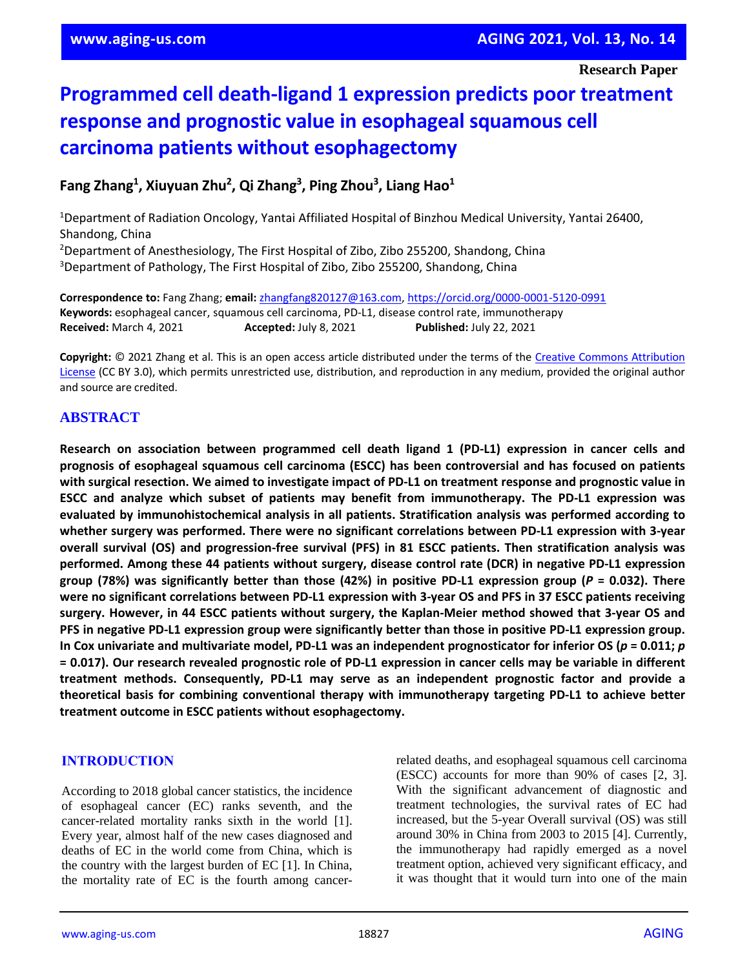# **Programmed cell death-ligand 1 expression predicts poor treatment response and prognostic value in esophageal squamous cell carcinoma patients without esophagectomy**

**Fang Zhang<sup>1</sup> , Xiuyuan Zhu<sup>2</sup> , Qi Zhang<sup>3</sup> , Ping Zhou<sup>3</sup> , Liang Hao<sup>1</sup>**

<sup>1</sup>Department of Radiation Oncology, Yantai Affiliated Hospital of Binzhou Medical University, Yantai 26400, Shandong, China <sup>2</sup>Department of Anesthesiology, The First Hospital of Zibo, Zibo 255200, Shandong, China <sup>3</sup>Department of Pathology, The First Hospital of Zibo, Zibo 255200, Shandong, China

**Correspondence to:** Fang Zhang; **email:** [zhangfang820127@163.com,](mailto:zhangfang820127@163.com) https://orcid.org/0000-0001-5120-0991 **Keywords:** esophageal cancer, squamous cell carcinoma, PD-L1, disease control rate, immunotherapy **Received:** March 4, 2021 **Accepted:** July 8, 2021 **Published:** July 22, 2021

**Copyright:** © 2021 Zhang et al. This is an open access article distributed under the terms of the [Creative Commons Attribution](https://creativecommons.org/licenses/by/3.0/)  [License](https://creativecommons.org/licenses/by/3.0/) (CC BY 3.0), which permits unrestricted use, distribution, and reproduction in any medium, provided the original author and source are credited.

# **ABSTRACT**

**Research on association between programmed cell death ligand 1 (PD-L1) expression in cancer cells and prognosis of esophageal squamous cell carcinoma (ESCC) has been controversial and has focused on patients** with surgical resection. We aimed to investigate impact of PD-L1 on treatment response and prognostic value in **ESCC and analyze which subset of patients may benefit from immunotherapy. The PD-L1 expression was evaluated by immunohistochemical analysis in all patients. Stratification analysis was performed according to whether surgery was performed. There were no significant correlations between PD-L1 expression with 3-year overall survival (OS) and progression-free survival (PFS) in 81 ESCC patients. Then stratification analysis was performed. Among these 44 patients without surgery, disease control rate (DCR) in negative PD-L1 expression** group (78%) was significantly better than those (42%) in positive PD-L1 expression group (P = 0.032). There were no significant correlations between PD-L1 expression with 3-year OS and PFS in 37 ESCC patients receiving **surgery. However, in 44 ESCC patients without surgery, the Kaplan-Meier method showed that 3-year OS and PFS in negative PD-L1 expression group were significantly better than those in positive PD-L1 expression group.** In Cox univariate and multivariate model, PD-L1 was an independent prognosticator for inferior OS ( $p = 0.011$ ; p = 0.017). Our research revealed prognostic role of PD-L1 expression in cancer cells may be variable in different **treatment methods. Consequently, PD-L1 may serve as an independent prognostic factor and provide a theoretical basis for combining conventional therapy with immunotherapy targeting PD-L1 to achieve better treatment outcome in ESCC patients without esophagectomy.**

## **INTRODUCTION**

According to 2018 global cancer statistics, the incidence of esophageal cancer (EC) ranks seventh, and the cancer-related mortality ranks sixth in the world [1]. Every year, almost half of the new cases diagnosed and deaths of EC in the world come from China, which is the country with the largest burden of EC [1]. In China, the mortality rate of EC is the fourth among cancerrelated deaths, and esophageal squamous cell carcinoma (ESCC) accounts for more than 90% of cases [2, 3]. With the significant advancement of diagnostic and treatment technologies, the survival rates of EC had increased, but the 5-year Overall survival (OS) was still around 30% in China from 2003 to 2015 [4]. Currently, the immunotherapy had rapidly emerged as a novel treatment option, achieved very significant efficacy, and it was thought that it would turn into one of the main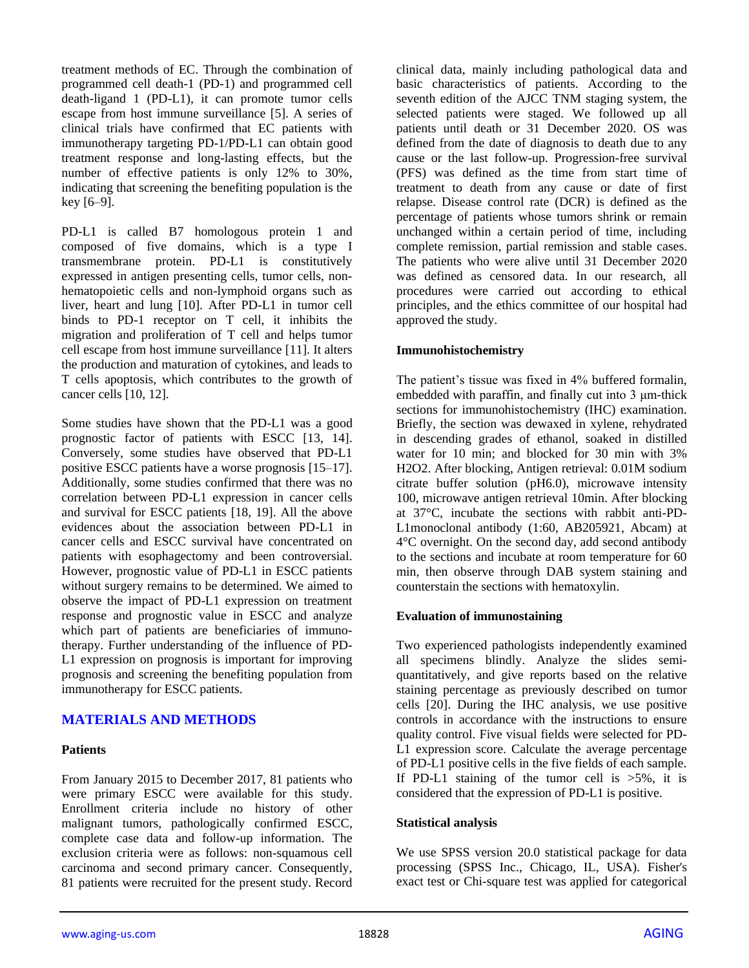treatment methods of EC. Through the combination of programmed cell death-1 (PD-1) and programmed cell death-ligand 1 (PD-L1), it can promote tumor cells escape from host immune surveillance [5]. A series of clinical trials have confirmed that EC patients with immunotherapy targeting PD-1/PD-L1 can obtain good treatment response and long-lasting effects, but the number of effective patients is only 12% to 30%, indicating that screening the benefiting population is the key [6–9].

PD-L1 is called B7 homologous protein 1 and composed of five domains, which is a type I transmembrane protein. PD-L1 is constitutively expressed in antigen presenting cells, tumor cells, nonhematopoietic cells and non-lymphoid organs such as liver, heart and lung [10]. After PD-L1 in tumor cell binds to PD-1 receptor on T cell, it inhibits the migration and proliferation of T cell and helps tumor cell escape from host immune surveillance [11]. It alters the production and maturation of cytokines, and leads to T cells apoptosis, which contributes to the growth of cancer cells [10, 12].

Some studies have shown that the PD-L1 was a good prognostic factor of patients with ESCC [13, 14]. Conversely, some studies have observed that PD-L1 positive ESCC patients have a worse prognosis [15–17]. Additionally, some studies confirmed that there was no correlation between PD-L1 expression in cancer cells and survival for ESCC patients [18, 19]. All the above evidences about the association between PD-L1 in cancer cells and ESCC survival have concentrated on patients with esophagectomy and been controversial. However, prognostic value of PD-L1 in ESCC patients without surgery remains to be determined. We aimed to observe the impact of PD-L1 expression on treatment response and prognostic value in ESCC and analyze which part of patients are beneficiaries of immunotherapy. Further understanding of the influence of PD-L1 expression on prognosis is important for improving prognosis and screening the benefiting population from immunotherapy for ESCC patients.

# **MATERIALS AND METHODS**

# **Patients**

From January 2015 to December 2017, 81 patients who were primary ESCC were available for this study. Enrollment criteria include no history of other malignant tumors, pathologically confirmed ESCC, complete case data and follow-up information. The exclusion criteria were as follows: non-squamous cell carcinoma and second primary cancer. Consequently, 81 patients were recruited for the present study. Record

clinical data, mainly including pathological data and basic characteristics of patients. According to the seventh edition of the AJCC TNM staging system, the selected patients were staged. We followed up all patients until death or 31 December 2020. OS was defined from the date of diagnosis to death due to any cause or the last follow-up. Progression-free survival (PFS) was defined as the time from start time of treatment to death from any cause or date of first relapse. Disease control rate (DCR) is defined as the percentage of patients whose tumors shrink or remain unchanged within a certain period of time, including complete remission, partial remission and stable cases. The patients who were alive until 31 December 2020 was defined as censored data. In our research, all procedures were carried out according to ethical principles, and the ethics committee of our hospital had approved the study.

## **Immunohistochemistry**

The patient's tissue was fixed in 4% buffered formalin, embedded with paraffin, and finally cut into 3 μm-thick sections for immunohistochemistry (IHC) examination. Briefly, the section was dewaxed in xylene, rehydrated in descending grades of ethanol, soaked in distilled water for 10 min; and blocked for 30 min with 3% H2O2. After blocking, Antigen retrieval: 0.01M sodium citrate buffer solution (pH6.0), microwave intensity 100, microwave antigen retrieval 10min. After blocking at 37°C, incubate the sections with rabbit anti-PD-L1monoclonal antibody (1:60, AB205921, Abcam) at 4°C overnight. On the second day, add second antibody to the sections and incubate at room temperature for 60 min, then observe through DAB system staining and counterstain the sections with hematoxylin.

## **Evaluation of immunostaining**

Two experienced pathologists independently examined all specimens blindly. Analyze the slides semiquantitatively, and give reports based on the relative staining percentage as previously described on tumor cells [20]. During the IHC analysis, we use positive controls in accordance with the instructions to ensure quality control. Five visual fields were selected for PD-L1 expression score. Calculate the average percentage of PD-L1 positive cells in the five fields of each sample. If PD-L1 staining of the tumor cell is  $>5\%$ , it is considered that the expression of PD-L1 is positive.

#### **Statistical analysis**

We use SPSS version 20.0 statistical package for data processing (SPSS Inc., Chicago, IL, USA). Fisher's exact test or Chi-square test was applied for categorical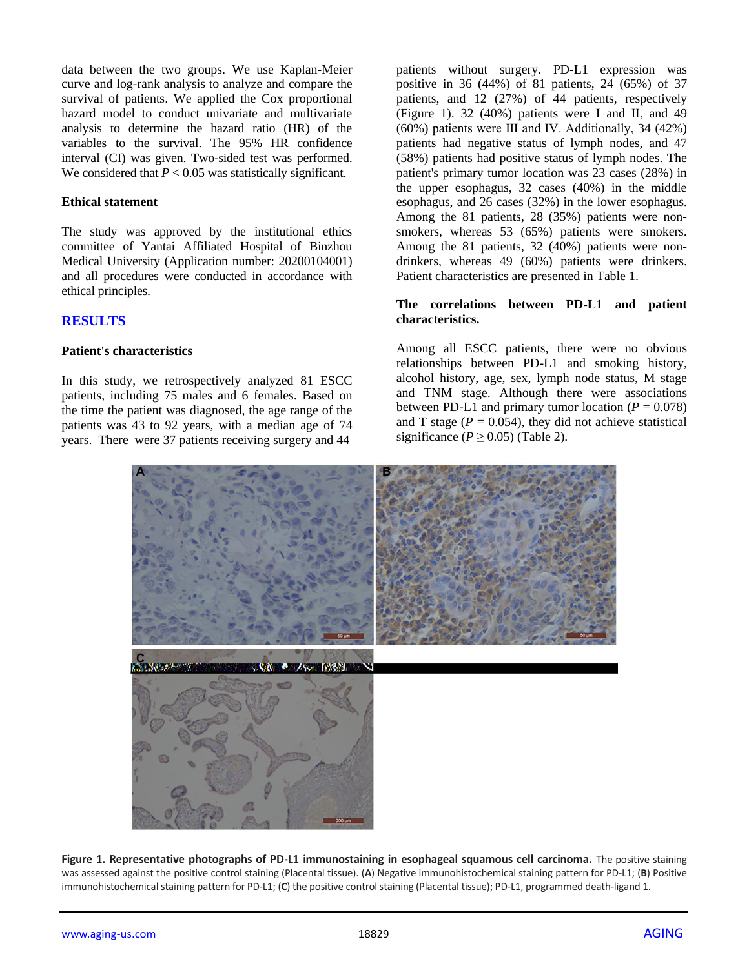data between the two groups. We use Kaplan-Meier curve and log-rank analysis to analyze and compare the survival of patients. We applied the Cox proportional hazard model to conduct univariate and multivariate analysis to determine the hazard ratio (HR) of the variables to the survival. The 95% HR confidence interval (CI) was given. Two-sided test was performed. We considered that  $P < 0.05$  was statistically significant.

#### **Ethical statement**

The study was approved by the institutional ethics committee of Yantai Affiliated Hospital of Binzhou Medical University (Application number: 20200104001) and all procedures were conducted in accordance with ethical principles.

#### **RESULTS**

#### **Patient's characteristics**

In this study, we retrospectively analyzed 81 ESCC patients, including 75 males and 6 females. Based on the time the patient was diagnosed, the age range of the patients was 43 to 92 years, with a median age of 74 years. There were 37 patients receiving surgery and 44

patients without surgery. PD-L1 expression was positive in 36 (44%) of 81 patients, 24 (65%) of 37 patients, and 12 (27%) of 44 patients, respectively (Figure 1). 32 (40%) patients were Ⅰ and Ⅱ, and 49 (60%) patients were Ⅲ and Ⅳ. Additionally, 34 (42%) patients had negative status of lymph nodes, and 47 (58%) patients had positive status of lymph nodes. The patient's primary tumor location was 23 cases (28%) in the upper esophagus, 32 cases (40%) in the middle esophagus, and 26 cases (32%) in the lower esophagus. Among the 81 patients, 28 (35%) patients were nonsmokers, whereas 53 (65%) patients were smokers. Among the 81 patients, 32 (40%) patients were nondrinkers, whereas 49 (60%) patients were drinkers. Patient characteristics are presented in Table 1.

#### **The correlations between PD-L1 and patient characteristics.**

Among all ESCC patients, there were no obvious relationships between PD-L1 and smoking history, alcohol history, age, sex, lymph node status, M stage and TNM stage. Although there were associations between PD-L1 and primary tumor location  $(P = 0.078)$ and T stage ( $P = 0.054$ ), they did not achieve statistical significance ( $P \ge 0.05$ ) (Table 2).



**Figure 1. Representative photographs of PD-L1 immunostaining in esophageal squamous cell carcinoma.** The positive staining was assessed against the positive control staining (Placental tissue). (**A**) Negative immunohistochemical staining pattern for PD-L1; (**B**) Positive immunohistochemical staining pattern for PD-L1; (**C**) the positive control staining (Placental tissue); PD-L1, programmed death-ligand 1.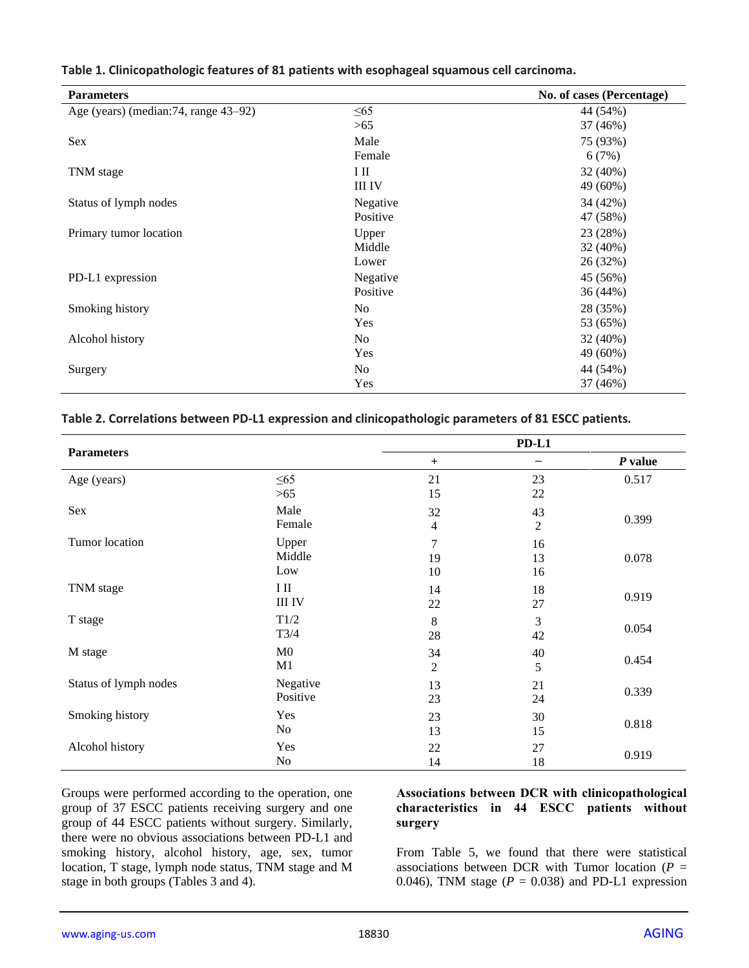| Table 1. Clinicopathologic features of 81 patients with esophageal squamous cell carcinoma. |  |
|---------------------------------------------------------------------------------------------|--|
|---------------------------------------------------------------------------------------------|--|

| <b>Parameters</b>                     |                | No. of cases (Percentage) |
|---------------------------------------|----------------|---------------------------|
| Age (years) (median: 74, range 43–92) | $\leq 65$      | 44 (54%)                  |
|                                       | >65            | 37 (46%)                  |
| Sex                                   | Male           | 75 (93%)                  |
|                                       | Female         | 6(7%)                     |
| TNM stage                             | Η              | 32 (40%)                  |
|                                       | <b>III IV</b>  | 49 (60%)                  |
| Status of lymph nodes                 | Negative       | 34 (42%)                  |
|                                       | Positive       | 47 (58%)                  |
| Primary tumor location                | Upper          | 23 (28%)                  |
|                                       | Middle         | 32 (40%)                  |
|                                       | Lower          | 26 (32%)                  |
| PD-L1 expression                      | Negative       | 45 (56%)                  |
|                                       | Positive       | 36 (44%)                  |
| Smoking history                       | N <sub>o</sub> | 28 (35%)                  |
|                                       | Yes            | 53 (65%)                  |
| Alcohol history                       | N <sub>o</sub> | 32 (40%)                  |
|                                       | Yes            | 49 (60%)                  |
| Surgery                               | No             | 44 (54%)                  |
|                                       | Yes            | 37 (46%)                  |

#### **Table 2. Correlations between PD-L1 expression and clinicopathologic parameters of 81 ESCC patients.**

|                       |                |                | PD-L1                    |           |
|-----------------------|----------------|----------------|--------------------------|-----------|
| <b>Parameters</b>     |                | $+$            | $\overline{\phantom{m}}$ | $P$ value |
| Age (years)           | $\leq 65$      | 21             | 23                       | 0.517     |
|                       | $>65$          | 15             | 22                       |           |
| Sex                   | Male           | 32             | 43                       |           |
|                       | Female         | $\overline{4}$ | $\overline{2}$           | 0.399     |
| Tumor location        | Upper          | $\overline{7}$ | 16                       |           |
|                       | Middle         | 19             | 13                       | 0.078     |
|                       | Low            | 10             | 16                       |           |
| TNM stage             | $\rm I\ II$    | 14             | 18                       | 0.919     |
|                       | <b>III IV</b>  | 22             | 27                       |           |
| T stage               | T1/2           | 8              | 3                        | 0.054     |
|                       | T3/4           | 28             | 42                       |           |
| M stage               | M <sub>0</sub> | 34             | 40                       | 0.454     |
|                       | M1             | $\mathbf{2}$   | 5                        |           |
| Status of lymph nodes | Negative       | 13             | 21                       | 0.339     |
|                       | Positive       | 23             | 24                       |           |
| Smoking history       | Yes            | 23             | 30                       | 0.818     |
|                       | No             | 13             | 15                       |           |
| Alcohol history       | Yes            | 22             | 27                       | 0.919     |
|                       | N <sub>0</sub> | 14             | 18                       |           |

Groups were performed according to the operation, one group of 37 ESCC patients receiving surgery and one group of 44 ESCC patients without surgery. Similarly, there were no obvious associations between PD-L1 and smoking history, alcohol history, age, sex, tumor location, T stage, lymph node status, TNM stage and M stage in both groups (Tables 3 and 4).

## **Associations between DCR with clinicopathological characteristics in 44 ESCC patients without surgery**

From Table 5, we found that there were statistical associations between DCR with Tumor location  $(P =$ 0.046), TNM stage  $(P = 0.038)$  and PD-L1 expression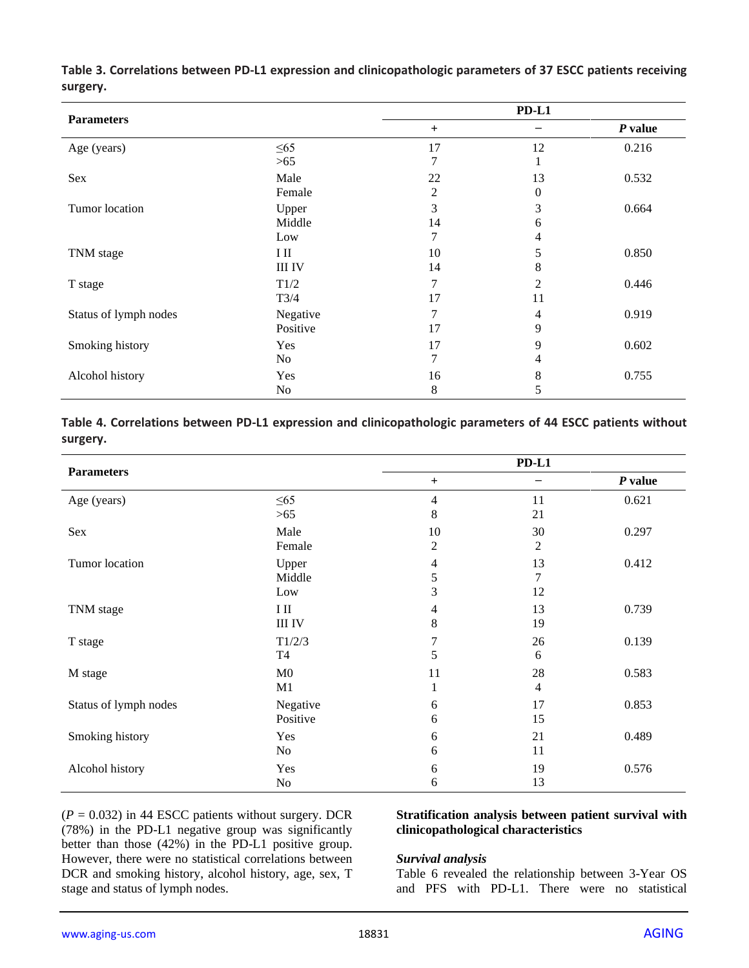| <b>Parameters</b>     |                    |                | $PD-L1$  |         |
|-----------------------|--------------------|----------------|----------|---------|
|                       |                    | $\ddot{}$      |          | P value |
| Age (years)           | $\leq 65$          | 17             | 12       | 0.216   |
|                       | >65                | 7              |          |         |
| Sex                   | Male               | 22             | 13       | 0.532   |
|                       | Female             | $\overline{c}$ | $\Omega$ |         |
| Tumor location        | Upper              | 3              | 3        | 0.664   |
|                       | Middle             | 14             | 6        |         |
|                       | Low                | 7              | 4        |         |
| TNM stage             | $\rm{I}$ $\rm{II}$ | 10             | 5        | 0.850   |
|                       | <b>III IV</b>      | 14             | 8        |         |
| T stage               | T1/2               | 7              | 2        | 0.446   |
|                       | T3/4               | 17             | 11       |         |
| Status of lymph nodes | Negative           | 7              | 4        | 0.919   |
|                       | Positive           | 17             | 9        |         |
| Smoking history       | Yes                | 17             | 9        | 0.602   |
|                       | No                 | 7              | 4        |         |
| Alcohol history       | Yes                | 16             | 8        | 0.755   |
|                       | N <sub>0</sub>     | 8              | 5        |         |

**Table 3. Correlations between PD-L1 expression and clinicopathologic parameters of 37 ESCC patients receiving surgery.**

# **Table 4. Correlations between PD-L1 expression and clinicopathologic parameters of 44 ESCC patients without surgery.**

| <b>Parameters</b>     |                |                | $PD-L1$        |           |
|-----------------------|----------------|----------------|----------------|-----------|
|                       |                | $+$            |                | $P$ value |
| Age (years)           | $\leq 65$      | $\overline{4}$ | 11             | 0.621     |
|                       | >65            | 8              | 21             |           |
| Sex                   | Male           | 10             | 30             | 0.297     |
|                       | Female         | 2              | 2              |           |
| Tumor location        | Upper          | $\overline{4}$ | 13             | 0.412     |
|                       | Middle         | 5              | 7              |           |
|                       | Low            | 3              | 12             |           |
| TNM stage             | IШ             | $\overline{4}$ | 13             | 0.739     |
|                       | <b>III IV</b>  | $8\,$          | 19             |           |
| T stage               | T1/2/3         | $\overline{7}$ | 26             | 0.139     |
|                       | T <sub>4</sub> | 5              | 6              |           |
| M stage               | M <sub>0</sub> | 11             | 28             | 0.583     |
|                       | M1             | 1              | $\overline{4}$ |           |
| Status of lymph nodes | Negative       | 6              | 17             | 0.853     |
|                       | Positive       | 6              | 15             |           |
| Smoking history       | Yes            | 6              | 21             | 0.489     |
|                       | N <sub>o</sub> | 6              | 11             |           |
| Alcohol history       | Yes            | 6              | 19             | 0.576     |
|                       | N <sub>0</sub> | 6              | 13             |           |

 $(P = 0.032)$  in 44 ESCC patients without surgery. DCR (78%) in the PD-L1 negative group was significantly better than those (42%) in the PD-L1 positive group. However, there were no statistical correlations between DCR and smoking history, alcohol history, age, sex, T stage and status of lymph nodes.

#### **Stratification analysis between patient survival with clinicopathological characteristics**

#### *Survival analysis*

Table 6 revealed the relationship between 3-Year OS and PFS with PD-L1. There were no statistical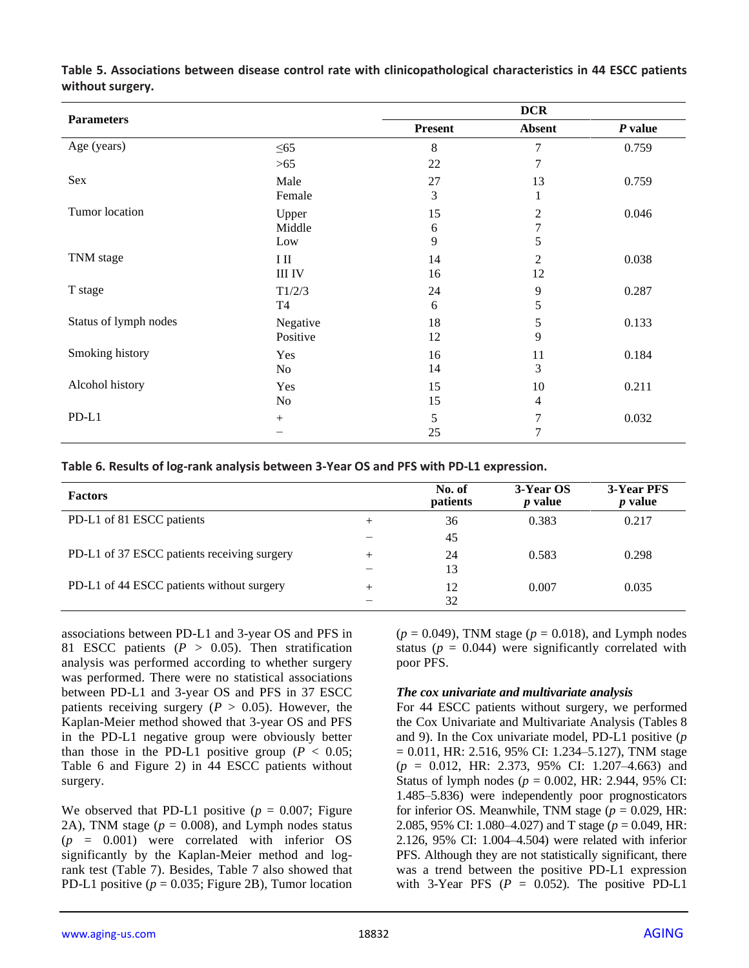| <b>Parameters</b>     |                |                | <b>DCR</b>     |           |
|-----------------------|----------------|----------------|----------------|-----------|
|                       |                | <b>Present</b> | <b>Absent</b>  | $P$ value |
| Age (years)           | $\leq 65$      | 8              | 7              | 0.759     |
|                       | >65            | 22             | 7              |           |
| Sex                   | Male           | 27             | 13             | 0.759     |
|                       | Female         | 3              | 1              |           |
| Tumor location        | Upper          | 15             | 2              | 0.046     |
|                       | Middle         | 6              | 7              |           |
|                       | Low            | 9              | 5              |           |
| TNM stage             | $\rm I\,II$    | 14             | $\overline{2}$ | 0.038     |
|                       | <b>III IV</b>  | 16             | 12             |           |
| T stage               | T1/2/3         | 24             | 9              | 0.287     |
|                       | <b>T4</b>      | 6              | 5              |           |
| Status of lymph nodes | Negative       | 18             | 5              | 0.133     |
|                       | Positive       | 12             | 9              |           |
| Smoking history       | Yes            | 16             | 11             | 0.184     |
|                       | No             | 14             | 3              |           |
| Alcohol history       | Yes            | 15             | 10             | 0.211     |
|                       | N <sub>0</sub> | 15             | $\overline{4}$ |           |
| $PD-L1$               | $^{+}$         | 5              | 7              | 0.032     |
|                       |                | 25             | $\overline{7}$ |           |

**Table 5. Associations between disease control rate with clinicopathological characteristics in 44 ESCC patients without surgery.**

|  | Table 6. Results of log-rank analysis between 3-Year OS and PFS with PD-L1 expression. |  |  |
|--|----------------------------------------------------------------------------------------|--|--|
|--|----------------------------------------------------------------------------------------|--|--|

| <b>Factors</b>                              |        | No. of<br>patients | 3-Year OS<br><i>p</i> value | 3-Year PFS<br><i>p</i> value |
|---------------------------------------------|--------|--------------------|-----------------------------|------------------------------|
| PD-L1 of 81 ESCC patients                   | $^{+}$ | 36                 | 0.383                       | 0.217                        |
|                                             |        | 45                 |                             |                              |
| PD-L1 of 37 ESCC patients receiving surgery | $^{+}$ | 24                 | 0.583                       | 0.298                        |
|                                             |        | 13                 |                             |                              |
| PD-L1 of 44 ESCC patients without surgery   | $^+$   | 12                 | 0.007                       | 0.035                        |
|                                             |        | 32                 |                             |                              |

associations between PD-L1 and 3-year OS and PFS in 81 ESCC patients  $(P > 0.05)$ . Then stratification analysis was performed according to whether surgery was performed. There were no statistical associations between PD-L1 and 3-year OS and PFS in 37 ESCC patients receiving surgery ( $P > 0.05$ ). However, the Kaplan-Meier method showed that 3-year OS and PFS in the PD-L1 negative group were obviously better than those in the PD-L1 positive group ( $P < 0.05$ ; Table 6 and Figure 2) in 44 ESCC patients without surgery.

We observed that PD-L1 positive  $(p = 0.007;$  Figure 2A), TNM stage  $(p = 0.008)$ , and Lymph nodes status (*p* = 0.001) were correlated with inferior OS significantly by the Kaplan-Meier method and logrank test (Table 7). Besides, Table 7 also showed that PD-L1 positive  $(p = 0.035;$  Figure 2B), Tumor location  $(p = 0.049)$ , TNM stage  $(p = 0.018)$ , and Lymph nodes status ( $p = 0.044$ ) were significantly correlated with poor PFS.

## *The cox univariate and multivariate analysis*

For 44 ESCC patients without surgery, we performed the Cox Univariate and Multivariate Analysis (Tables 8 and 9). In the Cox univariate model, PD-L1 positive (*p*  $= 0.011$ , HR: 2.516, 95% CI: 1.234–5.127), TNM stage (*p* = 0.012, HR: 2.373, 95% CI: 1.207–4.663) and Status of lymph nodes ( $p = 0.002$ , HR: 2.944, 95% CI: 1.485–5.836) were independently poor prognosticators for inferior OS. Meanwhile, TNM stage  $(p = 0.029, \text{HR})$ : 2.085, 95% CI: 1.080–4.027) and T stage (*p* = 0.049, HR: 2.126, 95% CI: 1.004–4.504) were related with inferior PFS. Although they are not statistically significant, there was a trend between the positive PD-L1 expression with 3-Year PFS  $(P = 0.052)$ . The positive PD-L1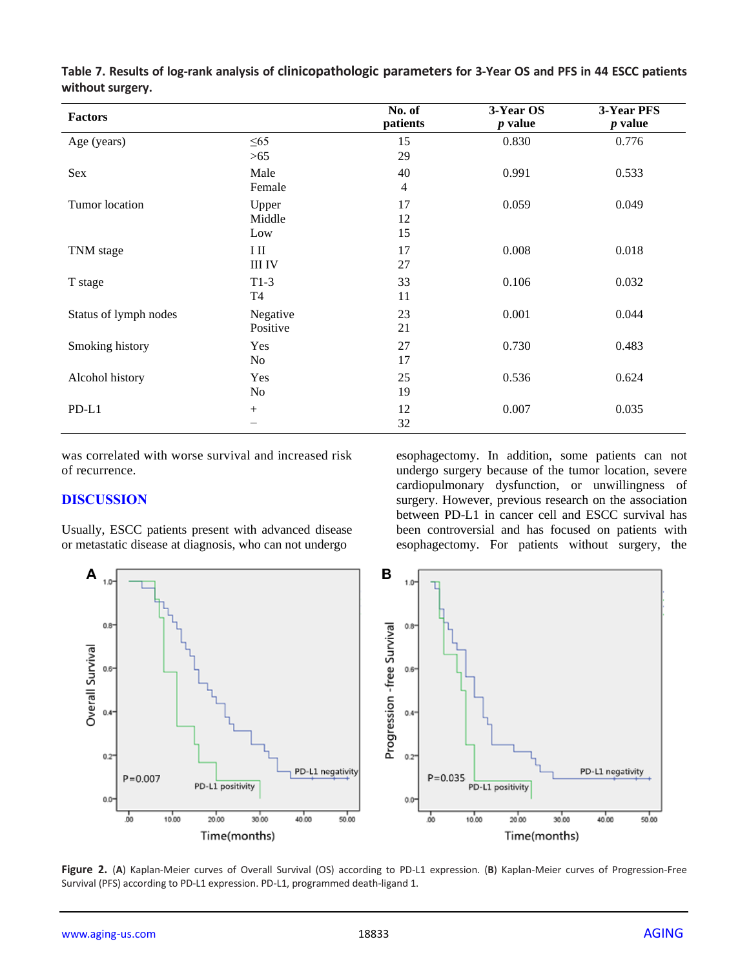| <b>Factors</b>        |               | No. of<br>patients | 3-Year OS<br>$p$ value | 3-Year PFS<br><i>p</i> value |
|-----------------------|---------------|--------------------|------------------------|------------------------------|
| Age (years)           | $\leq 65$     | 15                 | 0.830                  | 0.776                        |
|                       | >65           | 29                 |                        |                              |
| Sex                   | Male          | 40                 | 0.991                  | 0.533                        |
|                       | Female        | 4                  |                        |                              |
| Tumor location        | Upper         | 17                 | 0.059                  | 0.049                        |
|                       | Middle        | 12                 |                        |                              |
|                       | Low           | 15                 |                        |                              |
| TNM stage             | ΙШ            | 17                 | 0.008                  | 0.018                        |
|                       | <b>III IV</b> | 27                 |                        |                              |
| T stage               | $T1-3$        | 33                 | 0.106                  | 0.032                        |
|                       | <b>T4</b>     | 11                 |                        |                              |
| Status of lymph nodes | Negative      | 23                 | 0.001                  | 0.044                        |
|                       | Positive      | 21                 |                        |                              |
| Smoking history       | Yes           | 27                 | 0.730                  | 0.483                        |
|                       | No            | 17                 |                        |                              |
| Alcohol history       | Yes           | 25                 | 0.536                  | 0.624                        |
|                       | No            | 19                 |                        |                              |
| $PD-L1$               | $^{+}$        | 12                 | 0.007                  | 0.035                        |
|                       |               | 32                 |                        |                              |

**Table 7. Results of log-rank analysis of clinicopathologic parameters for 3-Year OS and PFS in 44 ESCC patients without surgery.**

was correlated with worse survival and increased risk of recurrence.

## **DISCUSSION**

Usually, ESCC patients present with advanced disease or metastatic disease at diagnosis, who can not undergo

esophagectomy. In addition, some patients can not undergo surgery because of the tumor location, severe cardiopulmonary dysfunction, or unwillingness of surgery. However, previous research on the association between PD-L1 in cancer cell and ESCC survival has been controversial and has focused on patients with esophagectomy. For patients without surgery, the



**Figure 2.** (**A**) Kaplan-Meier curves of Overall Survival (OS) according to PD-L1 expression. (**B**) Kaplan-Meier curves of Progression-Free Survival (PFS) according to PD-L1 expression. PD-L1, programmed death-ligand 1.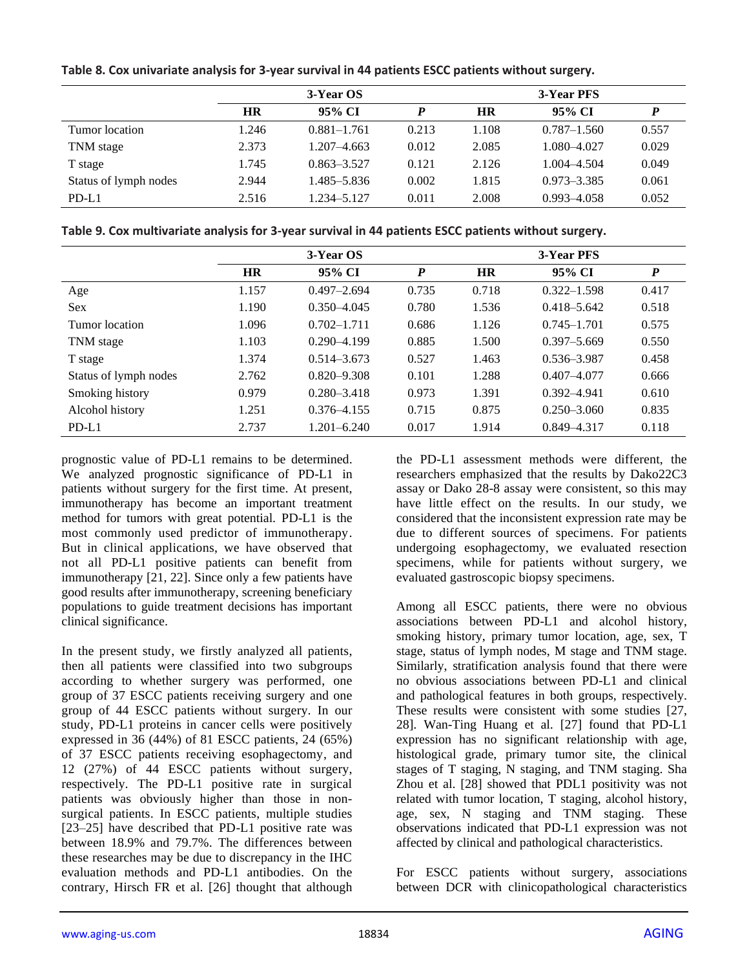|                       | 3-Year OS |                 |       | 3-Year PFS |                 |       |
|-----------------------|-----------|-----------------|-------|------------|-----------------|-------|
|                       | <b>HR</b> | 95% CI          |       | HR         | 95% CI          |       |
| Tumor location        | 1.246     | $0.881 - 1.761$ | 0.213 | 1.108      | $0.787 - 1.560$ | 0.557 |
| TNM stage             | 2.373     | $1.207 - 4.663$ | 0.012 | 2.085      | 1.080-4.027     | 0.029 |
| T stage               | 1.745     | $0.863 - 3.527$ | 0.121 | 2.126      | 1.004-4.504     | 0.049 |
| Status of lymph nodes | 2.944     | 1.485–5.836     | 0.002 | 1.815      | $0.973 - 3.385$ | 0.061 |
| $PD-L1$               | 2.516     | 1.234–5.127     | 0.011 | 2.008      | $0.993 - 4.058$ | 0.052 |

**Table 8. Cox univariate analysis for 3-year survival in 44 patients ESCC patients without surgery.**

**Table 9. Cox multivariate analysis for 3-year survival in 44 patients ESCC patients without surgery.**

|                       | 3-Year OS |                 |       | 3-Year PFS |                 |                  |
|-----------------------|-----------|-----------------|-------|------------|-----------------|------------------|
|                       | <b>HR</b> | 95% CI          | P     | <b>HR</b>  | 95% CI          | $\boldsymbol{P}$ |
| Age                   | 1.157     | $0.497 - 2.694$ | 0.735 | 0.718      | $0.322 - 1.598$ | 0.417            |
| <b>Sex</b>            | 1.190     | $0.350 - 4.045$ | 0.780 | 1.536      | $0.418 - 5.642$ | 0.518            |
| Tumor location        | 1.096     | $0.702 - 1.711$ | 0.686 | 1.126      | $0.745 - 1.701$ | 0.575            |
| TNM stage             | 1.103     | $0.290 - 4.199$ | 0.885 | 1.500      | $0.397 - 5.669$ | 0.550            |
| T stage               | 1.374     | $0.514 - 3.673$ | 0.527 | 1.463      | 0.536-3.987     | 0.458            |
| Status of lymph nodes | 2.762     | $0.820 - 9.308$ | 0.101 | 1.288      | $0.407 - 4.077$ | 0.666            |
| Smoking history       | 0.979     | $0.280 - 3.418$ | 0.973 | 1.391      | $0.392 - 4.941$ | 0.610            |
| Alcohol history       | 1.251     | $0.376 - 4.155$ | 0.715 | 0.875      | $0.250 - 3.060$ | 0.835            |
| PD-L1                 | 2.737     | 1.201–6.240     | 0.017 | 1.914      | $0.849 - 4.317$ | 0.118            |

prognostic value of PD-L1 remains to be determined. We analyzed prognostic significance of PD-L1 in patients without surgery for the first time. At present, immunotherapy has become an important treatment method for tumors with great potential. PD-L1 is the most commonly used predictor of immunotherapy. But in clinical applications, we have observed that not all PD-L1 positive patients can benefit from immunotherapy [21, 22]. Since only a few patients have good results after immunotherapy, screening beneficiary populations to guide treatment decisions has important clinical significance.

In the present study, we firstly analyzed all patients, then all patients were classified into two subgroups according to whether surgery was performed, one group of 37 ESCC patients receiving surgery and one group of 44 ESCC patients without surgery. In our study, PD-L1 proteins in cancer cells were positively expressed in 36 (44%) of 81 ESCC patients, 24 (65%) of 37 ESCC patients receiving esophagectomy, and 12 (27%) of 44 ESCC patients without surgery, respectively. The PD-L1 positive rate in surgical patients was obviously higher than those in nonsurgical patients. In ESCC patients, multiple studies [23–25] have described that PD-L1 positive rate was between 18.9% and 79.7%. The differences between these researches may be due to discrepancy in the IHC evaluation methods and PD-L1 antibodies. On the contrary, Hirsch FR et al. [26] thought that although

the PD-L1 assessment methods were different, the researchers emphasized that the results by Dako22C3 assay or Dako 28-8 assay were consistent, so this may have little effect on the results. In our study, we considered that the inconsistent expression rate may be due to different sources of specimens. For patients undergoing esophagectomy, we evaluated resection specimens, while for patients without surgery, we evaluated gastroscopic biopsy specimens.

Among all ESCC patients, there were no obvious associations between PD-L1 and alcohol history, smoking history, primary tumor location, age, sex, T stage, status of lymph nodes, M stage and TNM stage. Similarly, stratification analysis found that there were no obvious associations between PD-L1 and clinical and pathological features in both groups, respectively. These results were consistent with some studies [27, 28]. Wan-Ting Huang et al. [27] found that PD-L1 expression has no significant relationship with age, histological grade, primary tumor site, the clinical stages of T staging, N staging, and TNM staging. Sha Zhou et al. [28] showed that PDL1 positivity was not related with tumor location, T staging, alcohol history, age, sex, N staging and TNM staging. These observations indicated that PD-L1 expression was not affected by clinical and pathological characteristics.

For ESCC patients without surgery, associations between DCR with clinicopathological characteristics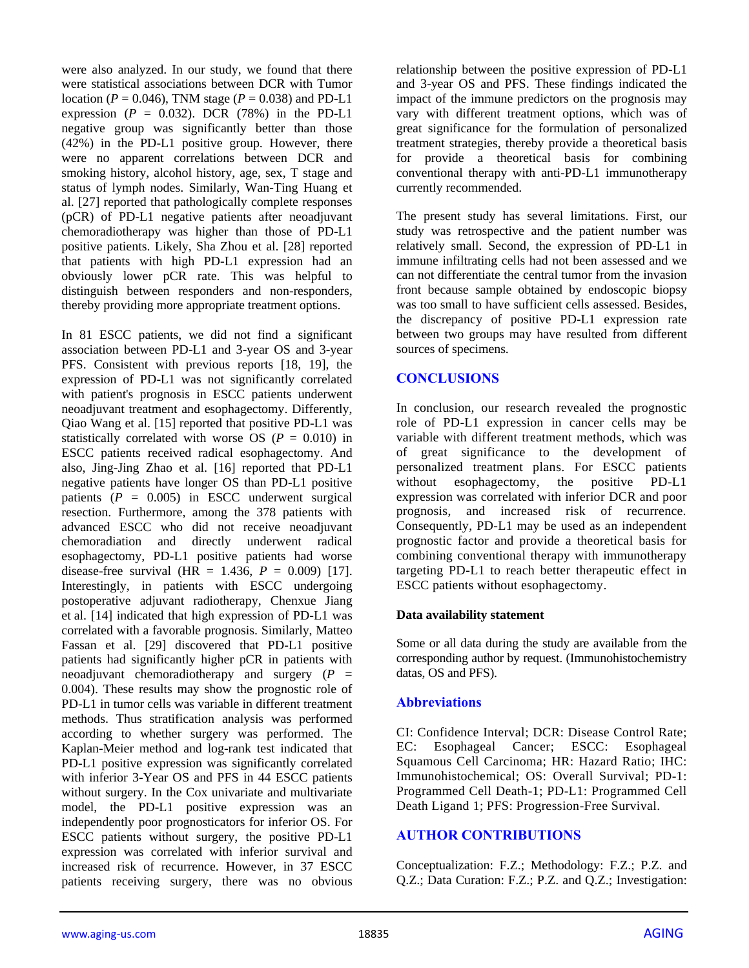were also analyzed. In our study, we found that there were statistical associations between DCR with Tumor location ( $P = 0.046$ ), TNM stage ( $P = 0.038$ ) and PD-L1 expression  $(P = 0.032)$ . DCR  $(78%)$  in the PD-L1 negative group was significantly better than those (42%) in the PD-L1 positive group. However, there were no apparent correlations between DCR and smoking history, alcohol history, age, sex, T stage and status of lymph nodes. Similarly, Wan-Ting Huang et al. [27] reported that pathologically complete responses (pCR) of PD-L1 negative patients after neoadjuvant chemoradiotherapy was higher than those of PD-L1 positive patients. Likely, Sha Zhou et al. [28] reported that patients with high PD-L1 expression had an obviously lower pCR rate. This was helpful to distinguish between responders and non-responders, thereby providing more appropriate treatment options.

In 81 ESCC patients, we did not find a significant association between PD-L1 and 3-year OS and 3-year PFS. Consistent with previous reports [18, 19], the expression of PD-L1 was not significantly correlated with patient's prognosis in ESCC patients underwent neoadjuvant treatment and esophagectomy. Differently, Qiao Wang et al. [15] reported that positive PD-L1 was statistically correlated with worse OS ( $P = 0.010$ ) in ESCC patients received radical esophagectomy. And also, Jing-Jing Zhao et al. [16] reported that PD-L1 negative patients have longer OS than PD-L1 positive patients  $(P = 0.005)$  in ESCC underwent surgical resection. Furthermore, among the 378 patients with advanced ESCC who did not receive neoadjuvant chemoradiation and directly underwent radical esophagectomy, PD-L1 positive patients had worse disease-free survival (HR =  $1.436$ ,  $P = 0.009$ ) [17]. Interestingly, in patients with ESCC undergoing postoperative adjuvant radiotherapy, Chenxue Jiang et al. [14] indicated that high expression of PD-L1 was correlated with a favorable prognosis. Similarly, Matteo Fassan et al. [29] discovered that PD-L1 positive patients had significantly higher pCR in patients with neoadjuvant chemoradiotherapy and surgery  $(P =$ 0.004). These results may show the prognostic role of PD-L1 in tumor cells was variable in different treatment methods. Thus stratification analysis was performed according to whether surgery was performed. The Kaplan-Meier method and log-rank test indicated that PD-L1 positive expression was significantly correlated with inferior 3-Year OS and PFS in 44 ESCC patients without surgery. In the Cox univariate and multivariate model, the PD-L1 positive expression was an independently poor prognosticators for inferior OS. For ESCC patients without surgery, the positive PD-L1 expression was correlated with inferior survival and increased risk of recurrence. However, in 37 ESCC patients receiving surgery, there was no obvious

relationship between the positive expression of PD-L1 and 3-year OS and PFS. These findings indicated the impact of the immune predictors on the prognosis may vary with different treatment options, which was of great significance for the formulation of personalized treatment strategies, thereby provide a theoretical basis for provide a theoretical basis for combining conventional therapy with anti-PD-L1 immunotherapy currently recommended.

The present study has several limitations. First, our study was retrospective and the patient number was relatively small. Second, the expression of PD-L1 in immune infiltrating cells had not been assessed and we can not differentiate the central tumor from the invasion front because sample obtained by endoscopic biopsy was too small to have sufficient cells assessed. Besides, the discrepancy of positive PD-L1 expression rate between two groups may have resulted from different sources of specimens.

# **CONCLUSIONS**

In conclusion, our research revealed the prognostic role of PD-L1 expression in cancer cells may be variable with different treatment methods, which was of great significance to the development of personalized treatment plans. For ESCC patients without esophagectomy, the positive PD-L1 expression was correlated with inferior DCR and poor prognosis, and increased risk of recurrence. Consequently, PD-L1 may be used as an independent prognostic factor and provide a theoretical basis for combining conventional therapy with immunotherapy targeting PD-L1 to reach better therapeutic effect in ESCC patients without esophagectomy.

# **Data availability statement**

Some or all data during the study are available from the corresponding author by request. (Immunohistochemistry datas, OS and PFS).

# **Abbreviations**

CI: Confidence Interval; DCR: Disease Control Rate; EC: Esophageal Cancer; ESCC: Esophageal Squamous Cell Carcinoma; HR: Hazard Ratio; IHC: Immunohistochemical; OS: Overall Survival; PD-1: Programmed Cell Death-1; PD-L1: Programmed Cell Death Ligand 1; PFS: Progression-Free Survival.

# **AUTHOR CONTRIBUTIONS**

Conceptualization: F.Z.; Methodology: F.Z.; P.Z. and Q.Z.; Data Curation: F.Z.; P.Z. and Q.Z.; Investigation: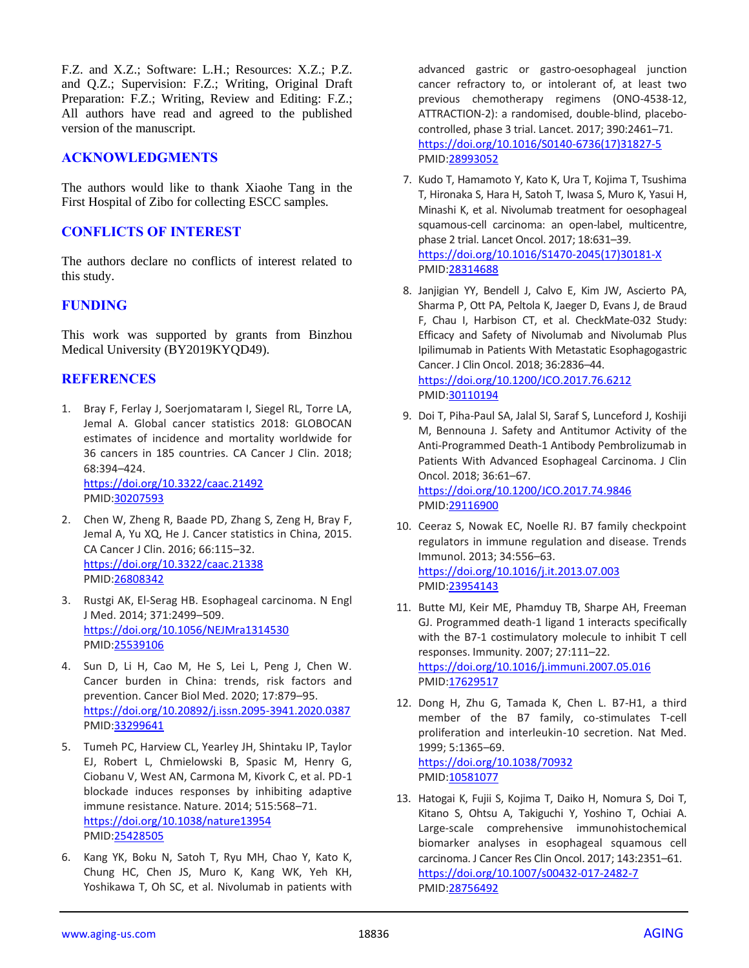F.Z. and X.Z.; Software: L.H.; Resources: X.Z.; P.Z. and Q.Z.; Supervision: F.Z.; Writing, Original Draft Preparation: F.Z.; Writing, Review and Editing: F.Z.; All authors have read and agreed to the published version of the manuscript.

## **ACKNOWLEDGMENTS**

The authors would like to thank Xiaohe Tang in the First Hospital of Zibo for collecting ESCC samples.

# **CONFLICTS OF INTEREST**

The authors declare no conflicts of interest related to this study.

## **FUNDING**

This work was supported by grants from Binzhou Medical University (BY2019KYQD49).

## **REFERENCES**

1. Bray F, Ferlay J, Soerjomataram I, Siegel RL, Torre LA, Jemal A. Global cancer statistics 2018: GLOBOCAN estimates of incidence and mortality worldwide for 36 cancers in 185 countries. CA Cancer J Clin. 2018; 68:394–424. <https://doi.org/10.3322/caac.21492>

PMID[:30207593](https://pubmed.ncbi.nlm.nih.gov/30207593)

- 2. Chen W, Zheng R, Baade PD, Zhang S, Zeng H, Bray F, Jemal A, Yu XQ, He J. Cancer statistics in China, 2015. CA Cancer J Clin. 2016; 66:115–32. <https://doi.org/10.3322/caac.21338> PMID[:26808342](https://pubmed.ncbi.nlm.nih.gov/26808342)
- 3. Rustgi AK, El-Serag HB. Esophageal carcinoma. N Engl J Med. 2014; 371:2499–509. <https://doi.org/10.1056/NEJMra1314530> PMID[:25539106](https://pubmed.ncbi.nlm.nih.gov/25539106)
- 4. Sun D, Li H, Cao M, He S, Lei L, Peng J, Chen W. Cancer burden in China: trends, risk factors and prevention. Cancer Biol Med. 2020; 17:879–95. <https://doi.org/10.20892/j.issn.2095-3941.2020.0387> PMID[:33299641](https://pubmed.ncbi.nlm.nih.gov/33299641)
- 5. Tumeh PC, Harview CL, Yearley JH, Shintaku IP, Taylor EJ, Robert L, Chmielowski B, Spasic M, Henry G, Ciobanu V, West AN, Carmona M, Kivork C, et al. PD-1 blockade induces responses by inhibiting adaptive immune resistance. Nature. 2014; 515:568–71. <https://doi.org/10.1038/nature13954> PMID[:25428505](https://pubmed.ncbi.nlm.nih.gov/25428505)
- 6. Kang YK, Boku N, Satoh T, Ryu MH, Chao Y, Kato K, Chung HC, Chen JS, Muro K, Kang WK, Yeh KH, Yoshikawa T, Oh SC, et al. Nivolumab in patients with

advanced gastric or gastro-oesophageal junction cancer refractory to, or intolerant of, at least two previous chemotherapy regimens (ONO-4538-12, ATTRACTION-2): a randomised, double-blind, placebocontrolled, phase 3 trial. Lancet. 2017; 390:2461–71. [https://doi.org/10.1016/S0140-6736\(17\)31827-5](https://doi.org/10.1016/S0140-6736(17)31827-5) PMID[:28993052](https://pubmed.ncbi.nlm.nih.gov/28993052)

- 7. Kudo T, Hamamoto Y, Kato K, Ura T, Kojima T, Tsushima T, Hironaka S, Hara H, Satoh T, Iwasa S, Muro K, Yasui H, Minashi K, et al. Nivolumab treatment for oesophageal squamous-cell carcinoma: an open-label, multicentre, phase 2 trial. Lancet Oncol. 2017; 18:631–39. [https://doi.org/10.1016/S1470-2045\(17\)30181-X](https://doi.org/10.1016/S1470-2045(17)30181-X) PMID[:28314688](https://pubmed.ncbi.nlm.nih.gov/28314688)
- 8. Janjigian YY, Bendell J, Calvo E, Kim JW, Ascierto PA, Sharma P, Ott PA, Peltola K, Jaeger D, Evans J, de Braud F, Chau I, Harbison CT, et al. CheckMate-032 Study: Efficacy and Safety of Nivolumab and Nivolumab Plus Ipilimumab in Patients With Metastatic Esophagogastric Cancer. J Clin Oncol. 2018; 36:2836–44. <https://doi.org/10.1200/JCO.2017.76.6212> PMID[:30110194](https://pubmed.ncbi.nlm.nih.gov/30110194)
- 9. Doi T, Piha-Paul SA, Jalal SI, Saraf S, Lunceford J, Koshiji M, Bennouna J. Safety and Antitumor Activity of the Anti-Programmed Death-1 Antibody Pembrolizumab in Patients With Advanced Esophageal Carcinoma. J Clin Oncol. 2018; 36:61–67. <https://doi.org/10.1200/JCO.2017.74.9846> PMID[:29116900](https://pubmed.ncbi.nlm.nih.gov/29116900)
- 10. Ceeraz S, Nowak EC, Noelle RJ. B7 family checkpoint regulators in immune regulation and disease. Trends Immunol. 2013; 34:556–63. <https://doi.org/10.1016/j.it.2013.07.003> PMID[:23954143](https://pubmed.ncbi.nlm.nih.gov/23954143)
- 11. Butte MJ, Keir ME, Phamduy TB, Sharpe AH, Freeman GJ. Programmed death-1 ligand 1 interacts specifically with the B7-1 costimulatory molecule to inhibit T cell responses. Immunity. 2007; 27:111–22. <https://doi.org/10.1016/j.immuni.2007.05.016> PMID[:17629517](https://pubmed.ncbi.nlm.nih.gov/17629517)
- 12. Dong H, Zhu G, Tamada K, Chen L. B7-H1, a third member of the B7 family, co-stimulates T-cell proliferation and interleukin-10 secretion. Nat Med. 1999; 5:1365–69. <https://doi.org/10.1038/70932>
	- PMID[:10581077](https://pubmed.ncbi.nlm.nih.gov/10581077)
- 13. Hatogai K, Fujii S, Kojima T, Daiko H, Nomura S, Doi T, Kitano S, Ohtsu A, Takiguchi Y, Yoshino T, Ochiai A. Large-scale comprehensive immunohistochemical biomarker analyses in esophageal squamous cell carcinoma. J Cancer Res Clin Oncol. 2017; 143:2351–61. <https://doi.org/10.1007/s00432-017-2482-7> PMID[:28756492](https://pubmed.ncbi.nlm.nih.gov/28756492)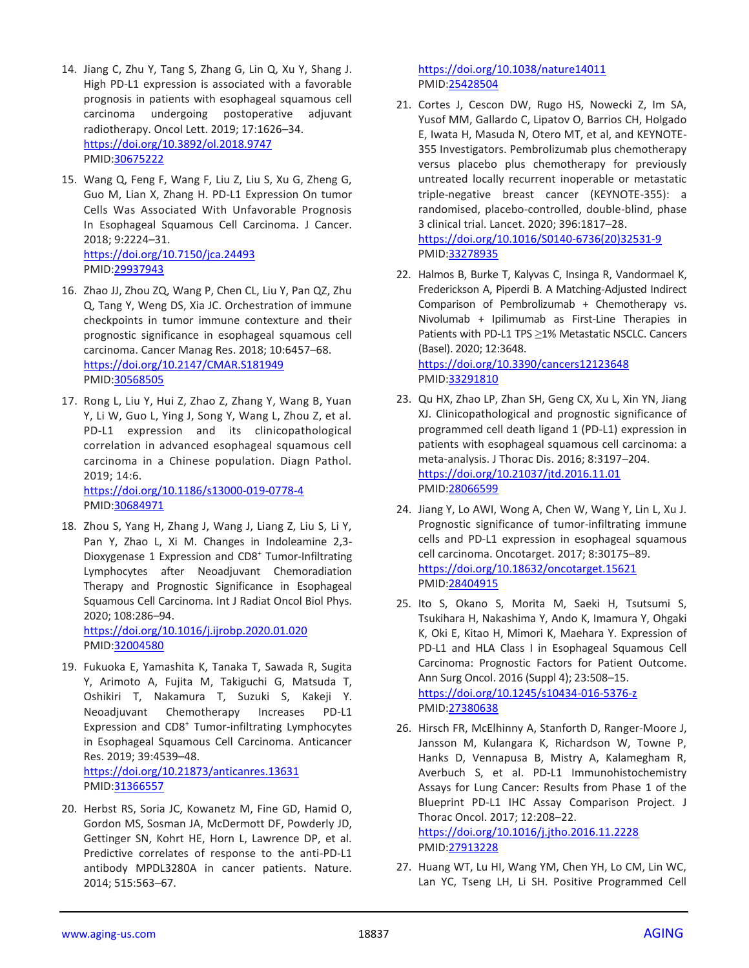- 14. Jiang C, Zhu Y, Tang S, Zhang G, Lin Q, Xu Y, Shang J. High PD-L1 expression is associated with a favorable prognosis in patients with esophageal squamous cell carcinoma undergoing postoperative adjuvant radiotherapy. Oncol Lett. 2019; 17:1626–34. <https://doi.org/10.3892/ol.2018.9747> PMID[:30675222](https://pubmed.ncbi.nlm.nih.gov/30675222)
- 15. Wang Q, Feng F, Wang F, Liu Z, Liu S, Xu G, Zheng G, Guo M, Lian X, Zhang H. PD-L1 Expression On tumor Cells Was Associated With Unfavorable Prognosis In Esophageal Squamous Cell Carcinoma. J Cancer. 2018; 9:2224–31. <https://doi.org/10.7150/jca.24493> PMID[:29937943](https://pubmed.ncbi.nlm.nih.gov/29937943)
- 16. Zhao JJ, Zhou ZQ, Wang P, Chen CL, Liu Y, Pan QZ, Zhu Q, Tang Y, Weng DS, Xia JC. Orchestration of immune checkpoints in tumor immune contexture and their prognostic significance in esophageal squamous cell carcinoma. Cancer Manag Res. 2018; 10:6457–68. <https://doi.org/10.2147/CMAR.S181949> PMID[:30568505](https://pubmed.ncbi.nlm.nih.gov/30568505)
- 17. Rong L, Liu Y, Hui Z, Zhao Z, Zhang Y, Wang B, Yuan Y, Li W, Guo L, Ying J, Song Y, Wang L, Zhou Z, et al. PD-L1 expression and its clinicopathological correlation in advanced esophageal squamous cell carcinoma in a Chinese population. Diagn Pathol. 2019; 14:6. <https://doi.org/10.1186/s13000-019-0778-4> PMID[:30684971](https://pubmed.ncbi.nlm.nih.gov/30684971)
- 18. Zhou S, Yang H, Zhang J, Wang J, Liang Z, Liu S, Li Y, Pan Y, Zhao L, Xi M. Changes in Indoleamine 2,3- Dioxygenase 1 Expression and CD8<sup>+</sup> Tumor-Infiltrating Lymphocytes after Neoadjuvant Chemoradiation Therapy and Prognostic Significance in Esophageal Squamous Cell Carcinoma. Int J Radiat Oncol Biol Phys. 2020; 108:286–94. <https://doi.org/10.1016/j.ijrobp.2020.01.020>

PMID[:32004580](https://pubmed.ncbi.nlm.nih.gov/32004580)

- 19. Fukuoka E, Yamashita K, Tanaka T, Sawada R, Sugita Y, Arimoto A, Fujita M, Takiguchi G, Matsuda T, Oshikiri T, Nakamura T, Suzuki S, Kakeji Y. Neoadjuvant Chemotherapy Increases PD-L1 Expression and CD8<sup>+</sup> Tumor-infiltrating Lymphocytes in Esophageal Squamous Cell Carcinoma. Anticancer Res. 2019; 39:4539–48. <https://doi.org/10.21873/anticanres.13631> PMID[:31366557](https://pubmed.ncbi.nlm.nih.gov/31366557)
- 20. Herbst RS, Soria JC, Kowanetz M, Fine GD, Hamid O, Gordon MS, Sosman JA, McDermott DF, Powderly JD, Gettinger SN, Kohrt HE, Horn L, Lawrence DP, et al. Predictive correlates of response to the anti-PD-L1 antibody MPDL3280A in cancer patients. Nature. 2014; 515:563–67.

<https://doi.org/10.1038/nature14011> PMID[:25428504](https://pubmed.ncbi.nlm.nih.gov/25428504)

- 21. Cortes J, Cescon DW, Rugo HS, Nowecki Z, Im SA, Yusof MM, Gallardo C, Lipatov O, Barrios CH, Holgado E, Iwata H, Masuda N, Otero MT, et al, and KEYNOTE-355 Investigators. Pembrolizumab plus chemotherapy versus placebo plus chemotherapy for previously untreated locally recurrent inoperable or metastatic triple-negative breast cancer (KEYNOTE-355): a randomised, placebo-controlled, double-blind, phase 3 clinical trial. Lancet. 2020; 396:1817–28. [https://doi.org/10.1016/S0140-6736\(20\)32531-9](https://doi.org/10.1016/S0140-6736(20)32531-9) PMID[:33278935](https://pubmed.ncbi.nlm.nih.gov/33278935)
- 22. Halmos B, Burke T, Kalyvas C, Insinga R, Vandormael K, Frederickson A, Piperdi B. A Matching-Adjusted Indirect Comparison of Pembrolizumab + Chemotherapy vs. Nivolumab + Ipilimumab as First-Line Therapies in Patients with PD-L1 TPS ≥1% Metastatic NSCLC. Cancers (Basel). 2020; 12:3648. <https://doi.org/10.3390/cancers12123648> PMID[:33291810](https://pubmed.ncbi.nlm.nih.gov/33291810)
- 23. Qu HX, Zhao LP, Zhan SH, Geng CX, Xu L, Xin YN, Jiang XJ. Clinicopathological and prognostic significance of programmed cell death ligand 1 (PD-L1) expression in patients with esophageal squamous cell carcinoma: a meta-analysis. J Thorac Dis. 2016; 8:3197–204. <https://doi.org/10.21037/jtd.2016.11.01> PMID[:28066599](https://pubmed.ncbi.nlm.nih.gov/28066599)
- 24. Jiang Y, Lo AWI, Wong A, Chen W, Wang Y, Lin L, Xu J. Prognostic significance of tumor-infiltrating immune cells and PD-L1 expression in esophageal squamous cell carcinoma. Oncotarget. 2017; 8:30175–89. <https://doi.org/10.18632/oncotarget.15621> PMID[:28404915](https://pubmed.ncbi.nlm.nih.gov/28404915)
- 25. Ito S, Okano S, Morita M, Saeki H, Tsutsumi S, Tsukihara H, Nakashima Y, Ando K, Imamura Y, Ohgaki K, Oki E, Kitao H, Mimori K, Maehara Y. Expression of PD-L1 and HLA Class I in Esophageal Squamous Cell Carcinoma: Prognostic Factors for Patient Outcome. Ann Surg Oncol. 2016 (Suppl 4); 23:508–15. <https://doi.org/10.1245/s10434-016-5376-z> PMID[:27380638](https://pubmed.ncbi.nlm.nih.gov/27380638)
- 26. Hirsch FR, McElhinny A, Stanforth D, Ranger-Moore J, Jansson M, Kulangara K, Richardson W, Towne P, Hanks D, Vennapusa B, Mistry A, Kalamegham R, Averbuch S, et al. PD-L1 Immunohistochemistry Assays for Lung Cancer: Results from Phase 1 of the Blueprint PD-L1 IHC Assay Comparison Project. J Thorac Oncol. 2017; 12:208–22. <https://doi.org/10.1016/j.jtho.2016.11.2228> PMID[:27913228](https://pubmed.ncbi.nlm.nih.gov/27913228)
- 27. Huang WT, Lu HI, Wang YM, Chen YH, Lo CM, Lin WC, Lan YC, Tseng LH, Li SH. Positive Programmed Cell